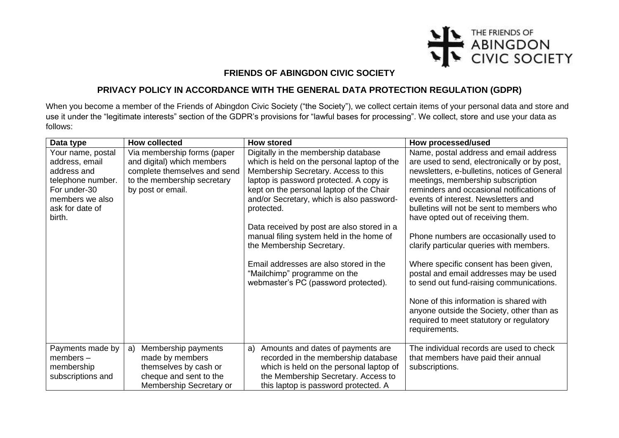

## **FRIENDS OF ABINGDON CIVIC SOCIETY**

## **PRIVACY POLICY IN ACCORDANCE WITH THE GENERAL DATA PROTECTION REGULATION (GDPR)**

When you become a member of the Friends of Abingdon Civic Society ("the Society"), we collect certain items of your personal data and store and use it under the "legitimate interests" section of the GDPR's provisions for "lawful bases for processing". We collect, store and use your data as follows:

| Data type         | <b>How collected</b>         | <b>How stored</b>                           | How processed/used                           |
|-------------------|------------------------------|---------------------------------------------|----------------------------------------------|
| Your name, postal | Via membership forms (paper  | Digitally in the membership database        | Name, postal address and email address       |
| address, email    | and digital) which members   | which is held on the personal laptop of the | are used to send, electronically or by post, |
| address and       | complete themselves and send | Membership Secretary. Access to this        | newsletters, e-bulletins, notices of General |
| telephone number. | to the membership secretary  | laptop is password protected. A copy is     | meetings, membership subscription            |
| For under-30      | by post or email.            | kept on the personal laptop of the Chair    | reminders and occasional notifications of    |
| members we also   |                              | and/or Secretary, which is also password-   | events of interest. Newsletters and          |
| ask for date of   |                              | protected.                                  | bulletins will not be sent to members who    |
| birth.            |                              |                                             | have opted out of receiving them.            |
|                   |                              | Data received by post are also stored in a  |                                              |
|                   |                              | manual filing system held in the home of    | Phone numbers are occasionally used to       |
|                   |                              | the Membership Secretary.                   | clarify particular queries with members.     |
|                   |                              | Email addresses are also stored in the      | Where specific consent has been given,       |
|                   |                              | "Mailchimp" programme on the                | postal and email addresses may be used       |
|                   |                              | webmaster's PC (password protected).        | to send out fund-raising communications.     |
|                   |                              |                                             |                                              |
|                   |                              |                                             | None of this information is shared with      |
|                   |                              |                                             | anyone outside the Society, other than as    |
|                   |                              |                                             | required to meet statutory or regulatory     |
|                   |                              |                                             | requirements.                                |
|                   |                              |                                             |                                              |
| Payments made by  | Membership payments<br>a)    | Amounts and dates of payments are<br>a)     | The individual records are used to check     |
| $members -$       | made by members              | recorded in the membership database         | that members have paid their annual          |
| membership        | themselves by cash or        | which is held on the personal laptop of     | subscriptions.                               |
| subscriptions and | cheque and sent to the       | the Membership Secretary. Access to         |                                              |
|                   | Membership Secretary or      | this laptop is password protected. A        |                                              |